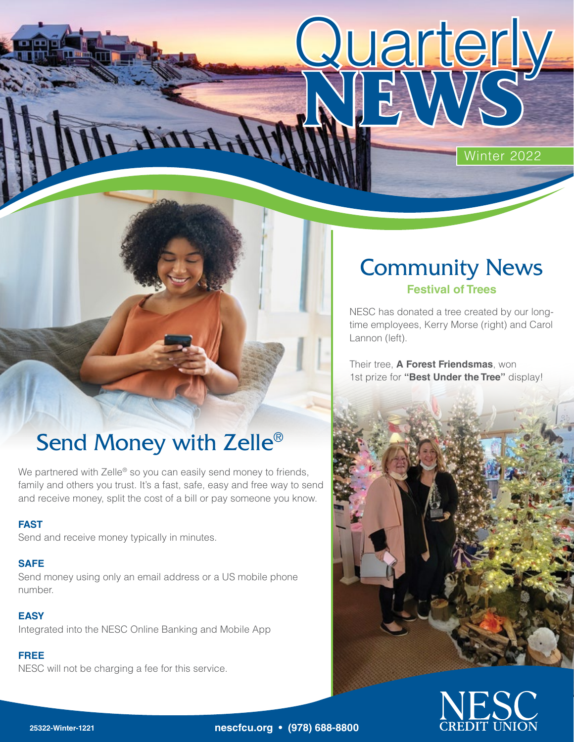Winter 2022

# Send Money with Zelle<sup>®</sup>

Little

We partnered with Zelle<sup>®</sup> so you can easily send money to friends, family and others you trust. It's a fast, safe, easy and free way to send and receive money, split the cost of a bill or pay someone you know.

### **FAST**

Send and receive money typically in minutes.

### **SAFE**

Send money using only an email address or a US mobile phone number.

### **EASY**

Integrated into the NESC Online Banking and Mobile App

### **FREE**

NESC will not be charging a fee for this service.

### Community News **Festival of Trees**

**Quarterly** 

NESC has donated a tree created by our longtime employees, Kerry Morse (right) and Carol Lannon (left).

Their tree, **A Forest Friendsmas**, won 1st prize for **"Best Under the Tree"** display!





**25322-Winter-1221 nescfcu.org • (978) 688-8800**